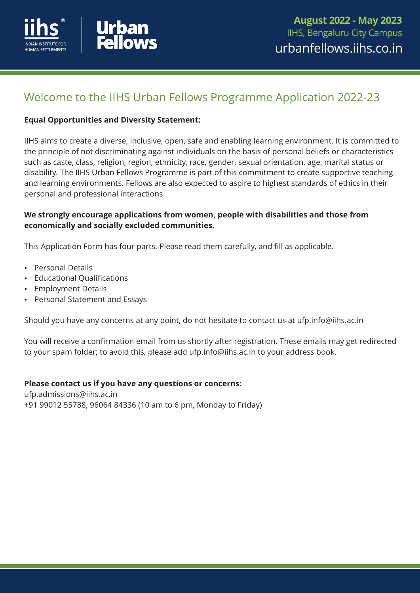



# Welcome to the IIHS Urban Fellows Programme Application 2022-23

### **Equal Opportunities and Diversity Statement:**

IIHS aims to create a diverse, inclusive, open, safe and enabling learning environment. It is committed to the principle of not discriminating against individuals on the basis of personal beliefs or characteristics such as caste, class, religion, region, ethnicity, race, gender, sexual orientation, age, marital status or disability. The IIHS Urban Fellows Programme is part of this commitment to create supportive teaching and learning environments. Fellows are also expected to aspire to highest standards of ethics in their personal and professional interactions.

### **We strongly encourage applications from women, people with disabilities and those from economically and socially excluded communities.**

This Application Form has four parts. Please read them carefully, and fill as applicable.

- Personal Details
- **Educational Qualifications**
- **Employment Details**
- Personal Statement and Essays

Should you have any concerns at any point, do not hesitate to contact us at ufp.info@iihs.ac.in

You will receive a confirmation email from us shortly after registration. These emails may get redirected to your spam folder; to avoid this, please add ufp.info@iihs.ac.in to your address book.

### **Please contact us if you have any questions or concerns:**

+91 99012 55788, 96064 84336 (10 am to 6 pm, Monday to Friday) ufp.admissions@iihs.ac.in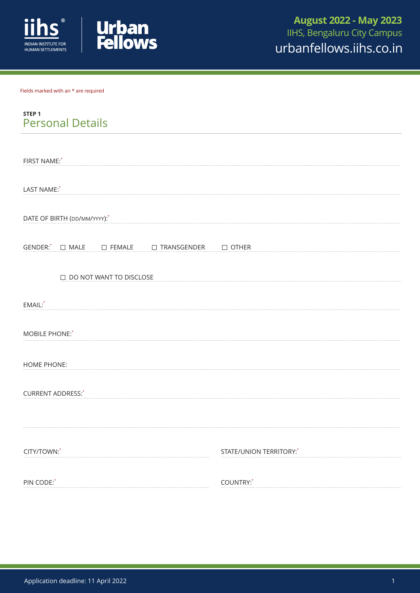



Fields marked with an \* are required

| STEP <sub>1</sub>       |  |
|-------------------------|--|
| <b>Personal Details</b> |  |

| FIRST NAME:*                                               |                         |
|------------------------------------------------------------|-------------------------|
|                                                            |                         |
| LAST NAME:*                                                |                         |
|                                                            |                         |
| DATE OF BIRTH (DD/MM/YYYY):*                               |                         |
|                                                            |                         |
| GENDER: <sup>*</sup> □ MALE □ FEMALE □ TRANSGENDER □ OTHER |                         |
|                                                            |                         |
| DO NOT WANT TO DISCLOSE                                    |                         |
|                                                            |                         |
| EMAIL:*                                                    |                         |
| MOBILE PHONE:*                                             |                         |
|                                                            |                         |
| <b>HOME PHONE:</b>                                         |                         |
|                                                            |                         |
| <b>CURRENT ADDRESS:</b> *                                  |                         |
|                                                            |                         |
|                                                            |                         |
|                                                            |                         |
| CITY/TOWN:*                                                | STATE/UNION TERRITORY:* |
|                                                            |                         |
| PIN CODE:*                                                 | COUNTRY:*               |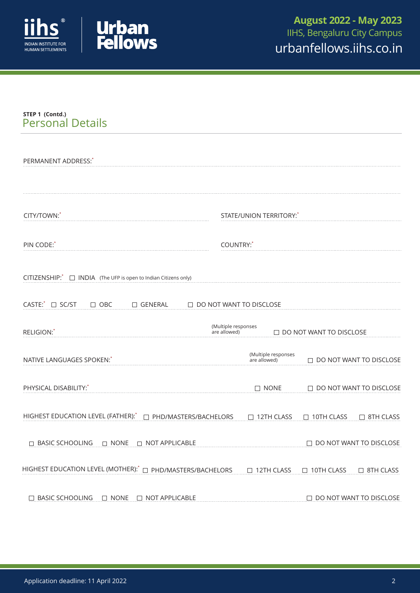



## **STEP 1 (Contd.)** Personal Details

| PERMANENT ADDRESS: <sup>*</sup>                                        |                                                                       |
|------------------------------------------------------------------------|-----------------------------------------------------------------------|
| CITY/TOWN:*                                                            | STATE/UNION TERRITORY:                                                |
| PIN CODE:                                                              | COUNTRY: <sup>*</sup>                                                 |
| $CITIZENSHIP$ : $\Box$ INDIA (The UFP is open to Indian Citizens only) |                                                                       |
| CASTE: □ SC/ST<br>$\Box$ OBC<br>$\Box$ GENERAL                         | $\Box$ DO NOT WANT TO DISCLOSE                                        |
| RELIGION:*                                                             | (Multiple responses<br>$\Box$ DO NOT WANT TO DISCLOSE<br>are allowed) |
| NATIVE LANGUAGES SPOKEN:                                               | (Multiple responses<br>$\Box$ DO NOT WANT TO DISCLOSE<br>are allowed) |
| PHYSICAL DISABILITY:*                                                  | $\Box$ NONE<br>$\Box$ DO NOT WANT TO DISCLOSE                         |
| HIGHEST EDUCATION LEVEL (FATHER): <sup>*</sup> □ PHD/MASTERS/BACHELORS | 12TH CLASS<br>$\Box$ 10TH CLASS<br>□ 8TH CLASS                        |
|                                                                        | DO NOT WANT TO DISCLOSE                                               |
| HIGHEST EDUCATION LEVEL (MOTHER): $^*$ $\Box$ PHD/MASTERS/BACHELORS    | □ 12TH CLASS<br>$\Box$ 10TH CLASS<br>□ 8TH CLASS                      |
| $\Box$ BASIC SCHOOLING<br>$\Box$ NONE $\Box$ NOT APPLICABLE            | $\Box$ DO NOT WANT TO DISCLOSE                                        |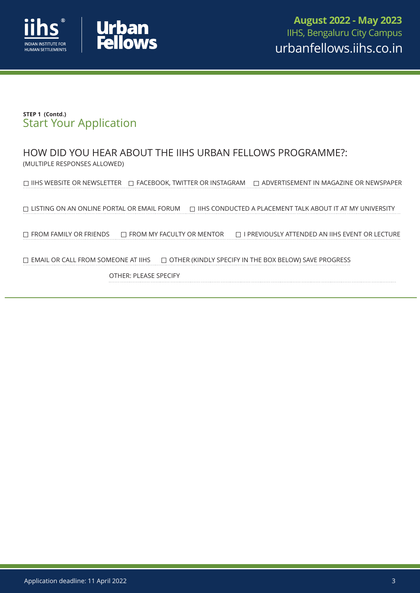



## **STEP 1 (Contd.)** Start Your Application

HOW DID YOU HEAR ABOUT THE IIHS URBAN FELLOWS PROGRAMME?: (MULTIPLE RESPONSES ALLOWED)

 $\Box$  IIHS WEBSITE OR NEWSLETTER  $\Box$  FACEBOOK, TWITTER OR INSTAGRAM  $\Box$  ADVERTISEMENT IN MAGAZINE OR NEWSPAPER

 $\Box$  LISTING ON AN ONLINE PORTAL OR EMAIL FORUM  $\Box$  IIHS CONDUCTED A PLACEMENT TALK ABOUT IT AT MY UNIVERSITY

 $\Box$  FROM FAMILY OR FRIENDS  $\Box$  FROM MY FACULTY OR MENTOR  $\Box$  I PREVIOUSLY ATTENDED AN IIHS EVENT OR LECTURE

 $\Box$  EMAIL OR CALL FROM SOMEONE AT IIHS  $\Box$  OTHER (KINDLY SPECIFY IN THE BOX BELOW) SAVE PROGRESS

OTHER: PLEASE SPECIFY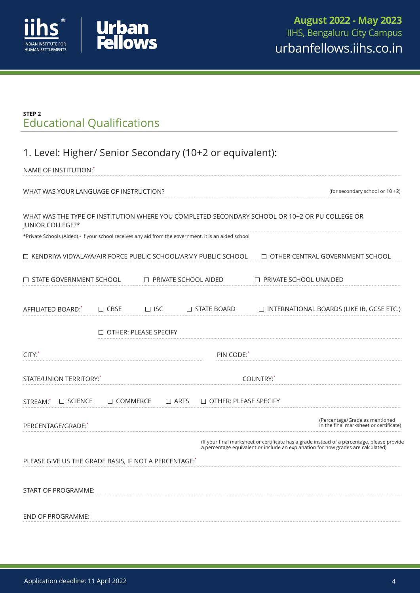



## **STEP 2** Educational Qualifications

# 1. Level: Higher/ Senior Secondary (10+2 or equivalent):

| NAME OF INSTITUTION:                                 |                 |                              |                                                                                                       |                                                                                                |                                                                                                                                                                                 |
|------------------------------------------------------|-----------------|------------------------------|-------------------------------------------------------------------------------------------------------|------------------------------------------------------------------------------------------------|---------------------------------------------------------------------------------------------------------------------------------------------------------------------------------|
| WHAT WAS YOUR LANGUAGE OF INSTRUCTION?               |                 |                              |                                                                                                       |                                                                                                | (for secondary school or 10 +2)                                                                                                                                                 |
| <b>JUNIOR COLLEGE?*</b>                              |                 |                              |                                                                                                       | WHAT WAS THE TYPE OF INSTITUTION WHERE YOU COMPLETED SECONDARY SCHOOL OR 10+2 OR PU COLLEGE OR |                                                                                                                                                                                 |
|                                                      |                 |                              | *Private Schools (Aided) - If your school receives any aid from the government, it is an aided school |                                                                                                |                                                                                                                                                                                 |
|                                                      |                 |                              | $\Box$ KENDRIYA VIDYALAYA/AIR FORCE PUBLIC SCHOOL/ARMY PUBLIC SCHOOL                                  |                                                                                                | $\Box$ OTHER CENTRAL GOVERNMENT SCHOOL                                                                                                                                          |
| $\Box$ STATE GOVERNMENT SCHOOL                       |                 |                              | $\Box$ PRIVATE SCHOOL AIDED                                                                           | $\Box$ PRIVATE SCHOOL UNAIDED                                                                  |                                                                                                                                                                                 |
| AFFILIATED BOARD:                                    | $\Box$ CBSE     | $\Box$ ISC                   | $\Box$ STATE BOARD                                                                                    |                                                                                                | $\Box$ INTERNATIONAL BOARDS (LIKE IB, GCSE ETC.)                                                                                                                                |
|                                                      |                 | $\Box$ OTHER: PLEASE SPECIFY |                                                                                                       |                                                                                                |                                                                                                                                                                                 |
| CITY:                                                |                 |                              | PIN CODE:                                                                                             |                                                                                                |                                                                                                                                                                                 |
| STATE/UNION TERRITORY:                               |                 |                              |                                                                                                       | COUNTRY:                                                                                       |                                                                                                                                                                                 |
| $\Box$ SCIENCE<br>STREAM: <sup>*</sup>               | $\Box$ COMMERCE |                              | $\Box$ ARTS<br>$\Box$ OTHER: PLEASE SPECIFY                                                           |                                                                                                |                                                                                                                                                                                 |
| PERCENTAGE/GRADE:                                    |                 |                              |                                                                                                       |                                                                                                | (Percentage/Grade as mentioned<br>in the final marksheet or certificate)                                                                                                        |
|                                                      |                 |                              |                                                                                                       |                                                                                                | (If your final marksheet or certificate has a grade instead of a percentage, please provide<br>a percentage equivalent or include an explanation for how grades are calculated) |
| PLEASE GIVE US THE GRADE BASIS, IF NOT A PERCENTAGE: |                 |                              |                                                                                                       |                                                                                                |                                                                                                                                                                                 |
| START OF PROGRAMME:                                  |                 |                              |                                                                                                       |                                                                                                |                                                                                                                                                                                 |
| <b>END OF PROGRAMME:</b>                             |                 |                              |                                                                                                       |                                                                                                |                                                                                                                                                                                 |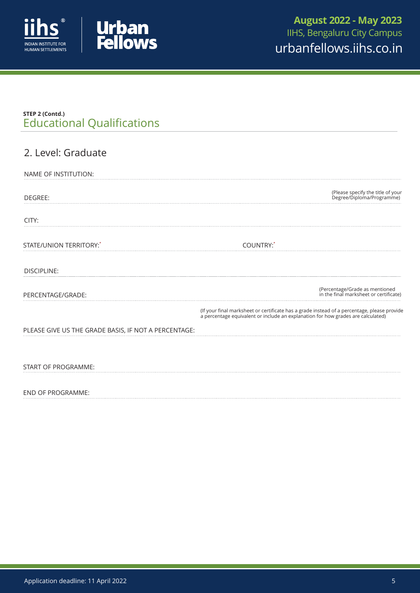



## Educational Qualifications **STEP 2 (Contd.)**

| 2. Level: Graduate                                   |                                                                                                                                                                                 |
|------------------------------------------------------|---------------------------------------------------------------------------------------------------------------------------------------------------------------------------------|
| NAME OF INSTITUTION:                                 |                                                                                                                                                                                 |
| DEGREE:                                              | (Please specify the title of your<br>Degree/Diploma/Programme)                                                                                                                  |
| CITY:                                                |                                                                                                                                                                                 |
| STATE/UNION TERRITORY:*                              | COUNTRY:*                                                                                                                                                                       |
| <b>DISCIPLINE:</b>                                   |                                                                                                                                                                                 |
| PERCENTAGE/GRADE:                                    | (Percentage/Grade as mentioned<br>in the final marksheet or certificate)                                                                                                        |
|                                                      | (If your final marksheet or certificate has a grade instead of a percentage, please provide<br>a percentage equivalent or include an explanation for how grades are calculated) |
| PLEASE GIVE US THE GRADE BASIS, IF NOT A PERCENTAGE: |                                                                                                                                                                                 |
|                                                      |                                                                                                                                                                                 |
| <b>START OF PROGRAMME:</b>                           |                                                                                                                                                                                 |
|                                                      |                                                                                                                                                                                 |

END OF PROGRAMME: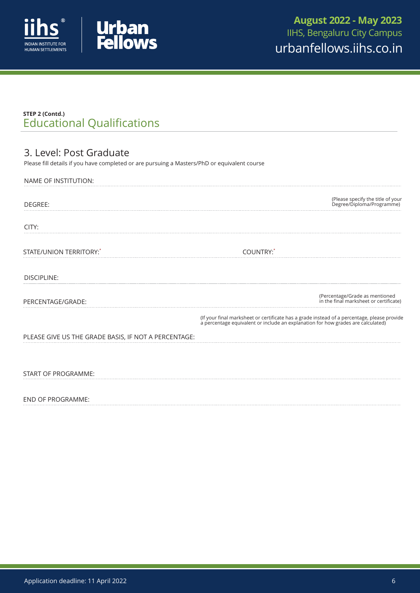



## Educational Qualifications **STEP 2 (Contd.)**

## 3.Level: Post Graduate

Please fill details if you have completed or are pursuing a Masters/PhD or equivalent course

| NAME OF INSTITUTION:                                 |                                                                                                                                                                              |
|------------------------------------------------------|------------------------------------------------------------------------------------------------------------------------------------------------------------------------------|
| DEGREE:                                              | (Please specify the title of your<br>Degree/Diploma/Programme)                                                                                                               |
| CITY:                                                |                                                                                                                                                                              |
| STATE/UNION TERRITORY:*                              | COUNTRY:*                                                                                                                                                                    |
| <b>DISCIPLINE:</b>                                   |                                                                                                                                                                              |
| PERCENTAGE/GRADE:                                    | (Percentage/Grade as mentioned<br>in the final marksheet or certificate)                                                                                                     |
|                                                      | (If your final marksheet or certificate has a grade instead of a percentage, please provide a percentage equivalent or include an explanation for how grades are calculated) |
| PLEASE GIVE US THE GRADE BASIS, IF NOT A PERCENTAGE: |                                                                                                                                                                              |
| START OF PROGRAMME:                                  |                                                                                                                                                                              |

### END OF PROGRAMME: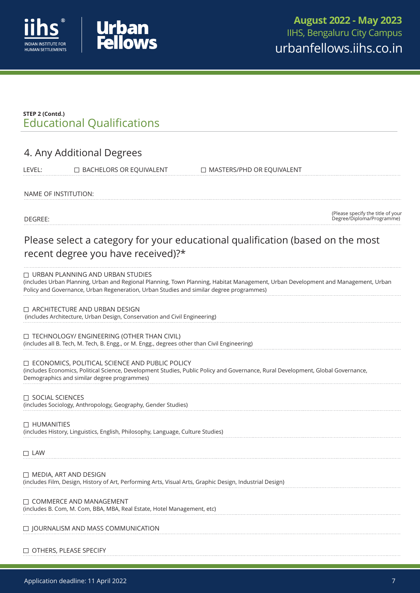



## Educational Qualifications **STEP 2 (Contd.)**

## 4.Any Additional Degrees

LEVEL: BACHELORS OR EQUIVALENT DUMASTERS/PHD OR EQUIVALENT

NAME OF INSTITUTION:

DEGREE:

(Please specify the title of your Degree/Diploma/Programme)

# Please select a category for your educational qualification (based on the most recent degree you have received)?\*

#### $\Box$  URBAN PLANNING AND URBAN STUDIES

(includes Urban Planning, Urban and Regional Planning, Town Planning, Habitat Management, Urban Development and Management, Urban Policy and Governance, Urban Regeneration, Urban Studies and similar degree programmes)

### □ ARCHITECTURE AND URBAN DESIGN

(includes Architecture, Urban Design, Conservation and Civil Engineering)

### TECHNOLOGY/ ENGINEERING (OTHER THAN CIVIL)

(includes all B. Tech, M. Tech, B. Engg., or M. Engg., degrees other than Civil Engineering)

### ECONOMICS, POLITICAL SCIENCE AND PUBLIC POLICY

(includes Economics, Political Science, Development Studies, Public Policy and Governance, Rural Development, Global Governance, Demographics and similar degree programmes)

### **SOCIAL SCIENCES**

(includes Sociology, Anthropology, Geography, Gender Studies)

#### **D** HUMANITIES

(includes History, Linguistics, English, Philosophy, Language, Culture Studies)

#### $\Box$  LAW

(includes Film, Design, History of Art, Performing Arts, Visual Arts, Graphic Design, Industrial Design) MEDIA, ART AND DESIGN

### COMMERCE AND MANAGEMENT

(includes B. Com, M. Com, BBA, MBA, Real Estate, Hotel Management, etc)

### $\square$  JOURNALISM AND MASS COMMUNICATION

### OTHERS, PLEASE SPECIFY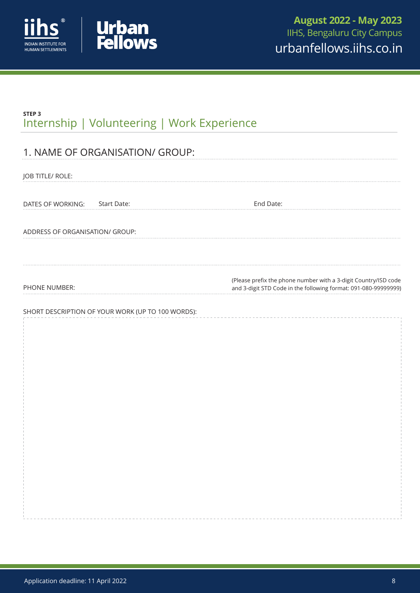



# **STEP 3** Internship | Volunteering | Work Experience

| 1. NAME OF ORGANISATION/ GROUP:                   |                                                                                                                                    |
|---------------------------------------------------|------------------------------------------------------------------------------------------------------------------------------------|
| JOB TITLE/ ROLE:                                  |                                                                                                                                    |
| DATES OF WORKING: Start Date:                     | End Date:                                                                                                                          |
| ADDRESS OF ORGANISATION/ GROUP:                   |                                                                                                                                    |
|                                                   |                                                                                                                                    |
| PHONE NUMBER:                                     | (Please prefix the phone number with a 3-digit Country/ISD code<br>and 3-digit STD Code in the following format: 091-080-99999999) |
| SHORT DESCRIPTION OF YOUR WORK (UP TO 100 WORDS): |                                                                                                                                    |
|                                                   |                                                                                                                                    |
|                                                   |                                                                                                                                    |
|                                                   |                                                                                                                                    |
|                                                   |                                                                                                                                    |
|                                                   |                                                                                                                                    |
|                                                   |                                                                                                                                    |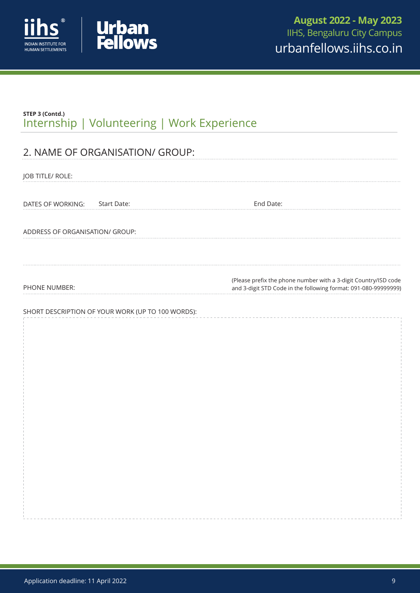



| STEP 3 (Contd.)<br>Internship   Volunteering   Work Experience |                                                                                                                                    |
|----------------------------------------------------------------|------------------------------------------------------------------------------------------------------------------------------------|
| 2. NAME OF ORGANISATION/ GROUP:                                |                                                                                                                                    |
|                                                                |                                                                                                                                    |
| JOB TITLE/ ROLE:                                               |                                                                                                                                    |
|                                                                |                                                                                                                                    |
| Start Date:<br>DATES OF WORKING:                               | End Date:                                                                                                                          |
|                                                                |                                                                                                                                    |
| ADDRESS OF ORGANISATION/ GROUP:                                |                                                                                                                                    |
|                                                                |                                                                                                                                    |
| PHONE NUMBER:                                                  | (Please prefix the phone number with a 3-digit Country/ISD code<br>and 3-digit STD Code in the following format: 091-080-99999999) |
|                                                                |                                                                                                                                    |
| SHORT DESCRIPTION OF YOUR WORK (UP TO 100 WORDS):              |                                                                                                                                    |
|                                                                |                                                                                                                                    |
|                                                                |                                                                                                                                    |
|                                                                |                                                                                                                                    |
|                                                                |                                                                                                                                    |
|                                                                |                                                                                                                                    |
|                                                                |                                                                                                                                    |
|                                                                |                                                                                                                                    |
|                                                                |                                                                                                                                    |
|                                                                |                                                                                                                                    |
|                                                                |                                                                                                                                    |
|                                                                |                                                                                                                                    |
|                                                                |                                                                                                                                    |
|                                                                |                                                                                                                                    |
|                                                                |                                                                                                                                    |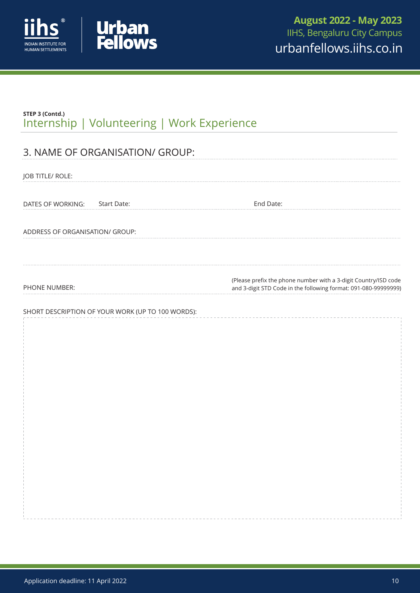



| STEP 3 (Contd.)<br>Internship   Volunteering   Work Experience |                                                                 |
|----------------------------------------------------------------|-----------------------------------------------------------------|
|                                                                |                                                                 |
| 3. NAME OF ORGANISATION/ GROUP:                                |                                                                 |
| JOB TITLE/ ROLE:                                               |                                                                 |
|                                                                |                                                                 |
| Start Date:<br>DATES OF WORKING:                               | End Date:                                                       |
|                                                                |                                                                 |
| ADDRESS OF ORGANISATION/ GROUP:                                |                                                                 |
|                                                                |                                                                 |
|                                                                | (Please prefix the phone number with a 3-digit Country/ISD code |
| PHONE NUMBER:                                                  | and 3-digit STD Code in the following format: 091-080-99999999) |
| SHORT DESCRIPTION OF YOUR WORK (UP TO 100 WORDS):              |                                                                 |
|                                                                |                                                                 |
|                                                                |                                                                 |
|                                                                |                                                                 |
|                                                                |                                                                 |
|                                                                |                                                                 |
|                                                                |                                                                 |
|                                                                |                                                                 |
|                                                                |                                                                 |
|                                                                |                                                                 |
|                                                                |                                                                 |
|                                                                |                                                                 |
|                                                                |                                                                 |
|                                                                |                                                                 |
|                                                                |                                                                 |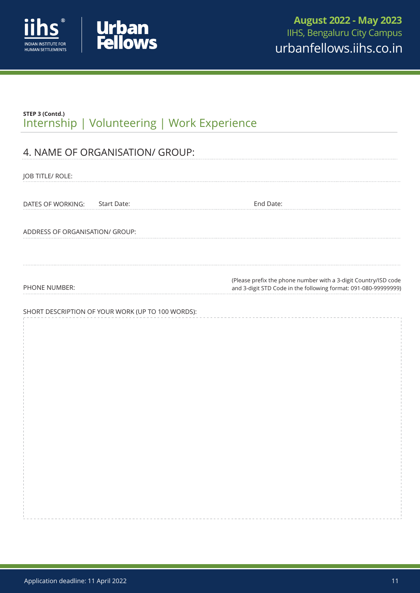



| STEP 3 (Contd.)<br>Internship   Volunteering   Work Experience |                                                                                                                                    |
|----------------------------------------------------------------|------------------------------------------------------------------------------------------------------------------------------------|
|                                                                |                                                                                                                                    |
| 4. NAME OF ORGANISATION/ GROUP:                                |                                                                                                                                    |
| JOB TITLE/ ROLE:                                               |                                                                                                                                    |
| Start Date:<br>DATES OF WORKING:                               | End Date:                                                                                                                          |
|                                                                |                                                                                                                                    |
| ADDRESS OF ORGANISATION/ GROUP:                                |                                                                                                                                    |
|                                                                |                                                                                                                                    |
| PHONE NUMBER:                                                  | (Please prefix the phone number with a 3-digit Country/ISD code<br>and 3-digit STD Code in the following format: 091-080-99999999) |
|                                                                |                                                                                                                                    |
| SHORT DESCRIPTION OF YOUR WORK (UP TO 100 WORDS):              |                                                                                                                                    |
|                                                                |                                                                                                                                    |
|                                                                |                                                                                                                                    |
|                                                                |                                                                                                                                    |
|                                                                |                                                                                                                                    |
|                                                                |                                                                                                                                    |
|                                                                |                                                                                                                                    |
|                                                                |                                                                                                                                    |
|                                                                |                                                                                                                                    |
|                                                                |                                                                                                                                    |
|                                                                |                                                                                                                                    |
|                                                                |                                                                                                                                    |
|                                                                |                                                                                                                                    |
|                                                                |                                                                                                                                    |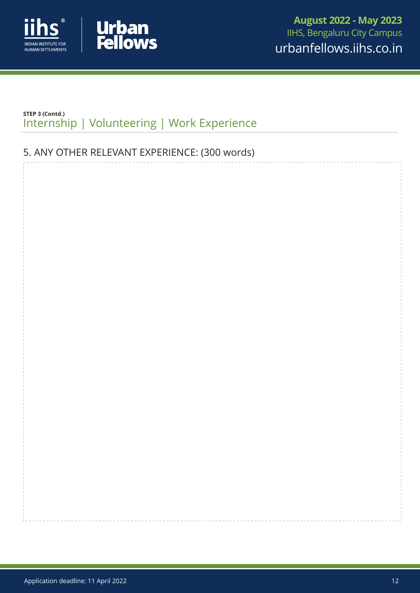



## **STEP 3 (Contd.)** Internship | Volunteering | Work Experience

# 5.ANY OTHER RELEVANT EXPERIENCE: (300 words)

Application deadline: 11 April 2022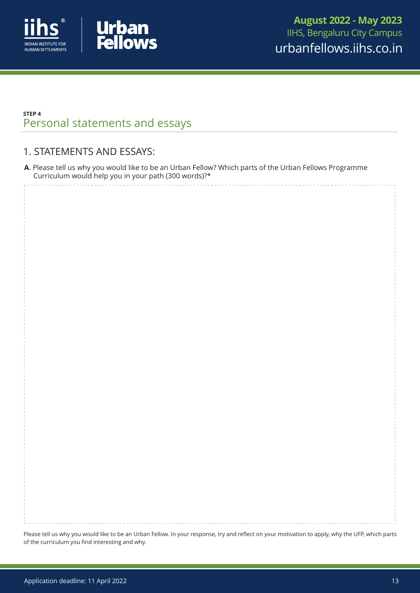



## **STEP 4** Personal statements and essays

## 1. STATEMENTS AND ESSAYS:

**A**.Please tell us why you would like to be an Urban Fellow? Which parts of the Urban Fellows Programme Curriculum would help you in your path (300 words)?\*

Please tell us why you would like to be an Urban Fellow. In your response, try and reflect on your motivation to apply, why the UFP, which parts of the curriculum you find interesting and why.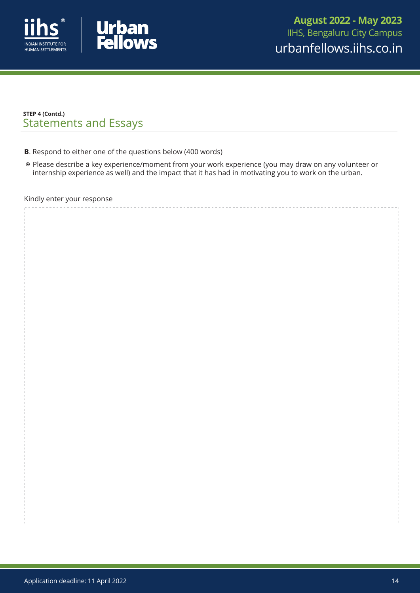



## **STEP 4 (Contd.)** Statements and Essays

- **B**. Respond to either one of the questions below (400 words)
- Please describe a key experience/moment from your work experience (you may draw on any volunteer or internship experience as well) and the impact that it has had in motivating you to work on the urban.

#### Kindly enter your response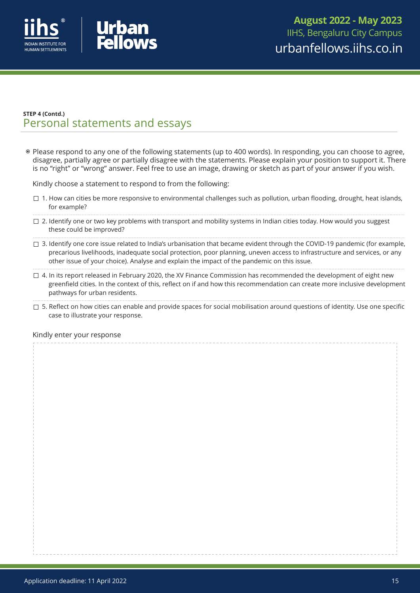



Please respond to any one of the following statements (up to 400 words). In responding, you can choose to agree, disagree, partially agree or partially disagree with the statements. Please explain your position to support it. There is no "right" or "wrong" answer. Feel free to use an image, drawing or sketch as part of your answer if you wish.

Kindly choose a statement to respond to from the following:

- $\Box$  1. How can cities be more responsive to environmental challenges such as pollution, urban flooding, drought, heat islands, for example?
- $\Box$  2. Identify one or two key problems with transport and mobility systems in Indian cities today. How would you suggest these could be improved?
- $\Box$  3. Identify one core issue related to India's urbanisation that became evident through the COVID-19 pandemic (for example, precarious livelihoods, inadequate social protection, poor planning, uneven access to infrastructure and services, or any other issue of your choice). Analyse and explain the impact of the pandemic on this issue.
- $\Box$  4. In its report released in February 2020, the XV Finance Commission has recommended the development of eight new greenfield cities. In the context of this, reflect on if and how this recommendation can create more inclusive development pathways for urban residents.
- $\Box$  5. Reflect on how cities can enable and provide spaces for social mobilisation around questions of identity. Use one specific case to illustrate your response.

#### Kindly enter your response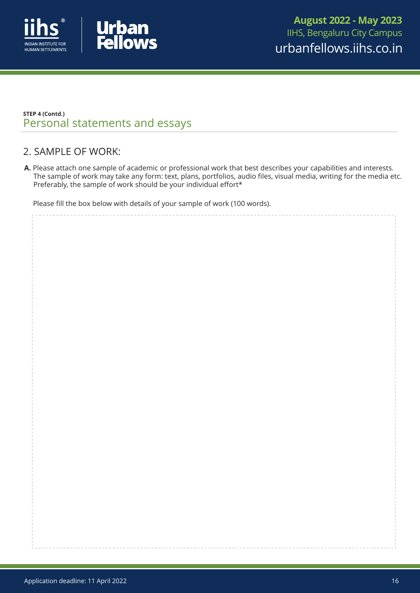



## 2. SAMPLE OF WORK:

**A.** Please attach one sample of academic or professional work that best describes your capabilities and interests. The sample of work may take any form: text, plans, portfolios, audio files, visual media, writing for the media etc. Preferably, the sample of work should be your individual effort\*

Please fill the box below with details of your sample of work (100 words).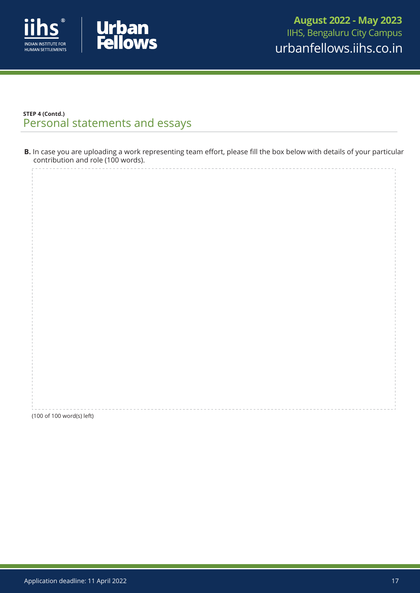



**B.** In case you are uploading a work representing team effort, please fill the box below with details of your particular contribution and role (100 words).

(100 of 100 word(s) left)